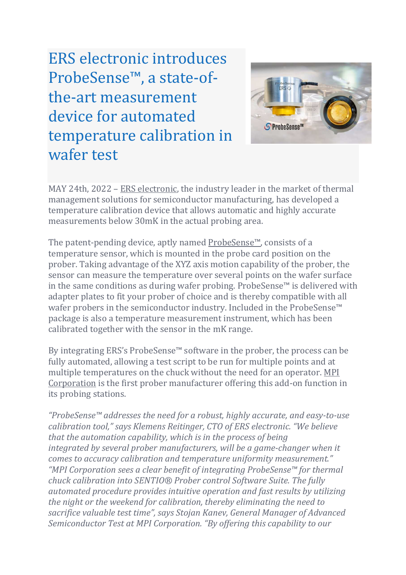ERS electronic introduces ProbeSense™, a state-ofthe-art measurement device for automated temperature calibration in wafer test



MAY 24th, 2022 – ERS electronic, the industry leader in the market of thermal management solutions for semiconductor manufacturing, has developed a temperature calibration device that allows automatic and highly accurate measurements below 30mK in the actual probing area.

The patent-pending device, aptly named ProbeSense™, consists of a temperature sensor, which is mounted in the probe card position on the prober. Taking advantage of the XYZ axis motion capability of the prober, the sensor can measure the temperature over several points on the wafer surface in the same conditions as during wafer probing. ProbeSense™ is delivered with adapter plates to fit your prober of choice and is thereby compatible with all wafer probers in the semiconductor industry. Included in the ProbeSense™ package is also a temperature measurement instrument, which has been calibrated together with the sensor in the mK range.

By integrating ERS's ProbeSense™ software in the prober, the process can be fully automated, allowing a test script to be run for multiple points and at multiple temperatures on the chuck without the need for an operator. MPI Corporation is the first prober manufacturer offering this add-on function in its probing stations.

*"ProbeSense™ addresses the need for a robust, highly accurate, and easy-to-use calibration tool," says Klemens Reitinger, CTO of ERS electronic. "We believe that the automation capability, which is in the process of being integrated by several prober manufacturers, will be a game-changer when it comes to accuracy calibration and temperature uniformity measurement." "MPI Corporation sees a clear benefit of integrating ProbeSense™ for thermal chuck calibration into SENTIO® Prober control Software Suite. The fully automated procedure provides intuitive operation and fast results by utilizing the night or the weekend for calibration, thereby eliminating the need to sacrifice valuable test time", says Stojan Kanev, General Manager of Advanced Semiconductor Test at MPI Corporation. "By offering this capability to our*